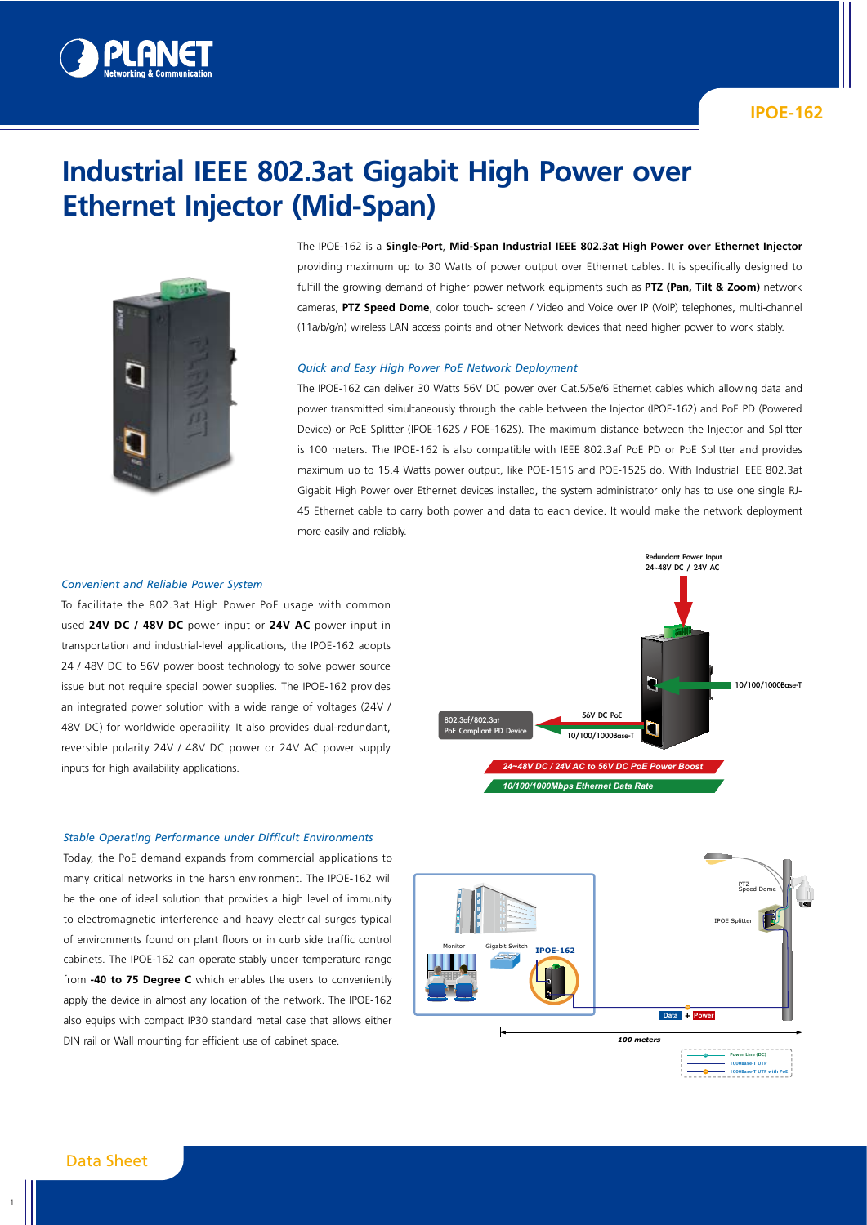

# **Industrial IEEE 802.3at Gigabit High Power over Ethernet Injector (Mid-Span)**



The IPOE-162 is a **Single-Port**, **Mid-Span Industrial IEEE 802.3at High Power over Ethernet Injector** providing maximum up to 30 Watts of power output over Ethernet cables. It is specifically designed to fulfill the growing demand of higher power network equipments such as **PTZ (Pan, Tilt & Zoom)** network cameras, **PTZ Speed Dome**, color touch- screen / Video and Voice over IP (VoIP) telephones, multi-channel (11a/b/g/n) wireless LAN access points and other Network devices that need higher power to work stably.

#### *Quick and Easy High Power PoE Network Deployment*

The IPOE-162 can deliver 30 Watts 56V DC power over Cat.5/5e/6 Ethernet cables which allowing data and power transmitted simultaneously through the cable between the Injector (IPOE-162) and PoE PD (Powered Device) or PoE Splitter (IPOE-162S / POE-162S). The maximum distance between the Injector and Splitter is 100 meters. The IPOE-162 is also compatible with IEEE 802.3af PoE PD or PoE Splitter and provides maximum up to 15.4 Watts power output, like POE-151S and POE-152S do. With Industrial IEEE 802.3at Gigabit High Power over Ethernet devices installed, the system administrator only has to use one single RJ-45 Ethernet cable to carry both power and data to each device. It would make the network deployment more easily and reliably.

#### *Convenient and Reliable Power System*

To facilitate the 802.3at High Power PoE usage with common used **24V DC / 48V DC** power input or **24V AC** power input in transportation and industrial-level applications, the IPOE-162 adopts 24 / 48V DC to 56V power boost technology to solve power source issue but not require special power supplies. The IPOE-162 provides an integrated power solution with a wide range of voltages (24V / 48V DC) for worldwide operability. It also provides dual-redundant, reversible polarity 24V / 48V DC power or 24V AC power supply inputs for high availability applications.

#### *Stable Operating Performance under Difficult Environments*

Today, the PoE demand expands from commercial applications to many critical networks in the harsh environment. The IPOE-162 will be the one of ideal solution that provides a high level of immunity to electromagnetic interference and heavy electrical surges typical of environments found on plant floors or in curb side traffic control cabinets. The IPOE-162 can operate stably under temperature range from **-40 to 75 Degree C** which enables the users to conveniently apply the device in almost any location of the network. The IPOE-162 also equips with compact IP30 standard metal case that allows either DIN rail or Wall mounting for efficient use of cabinet space.



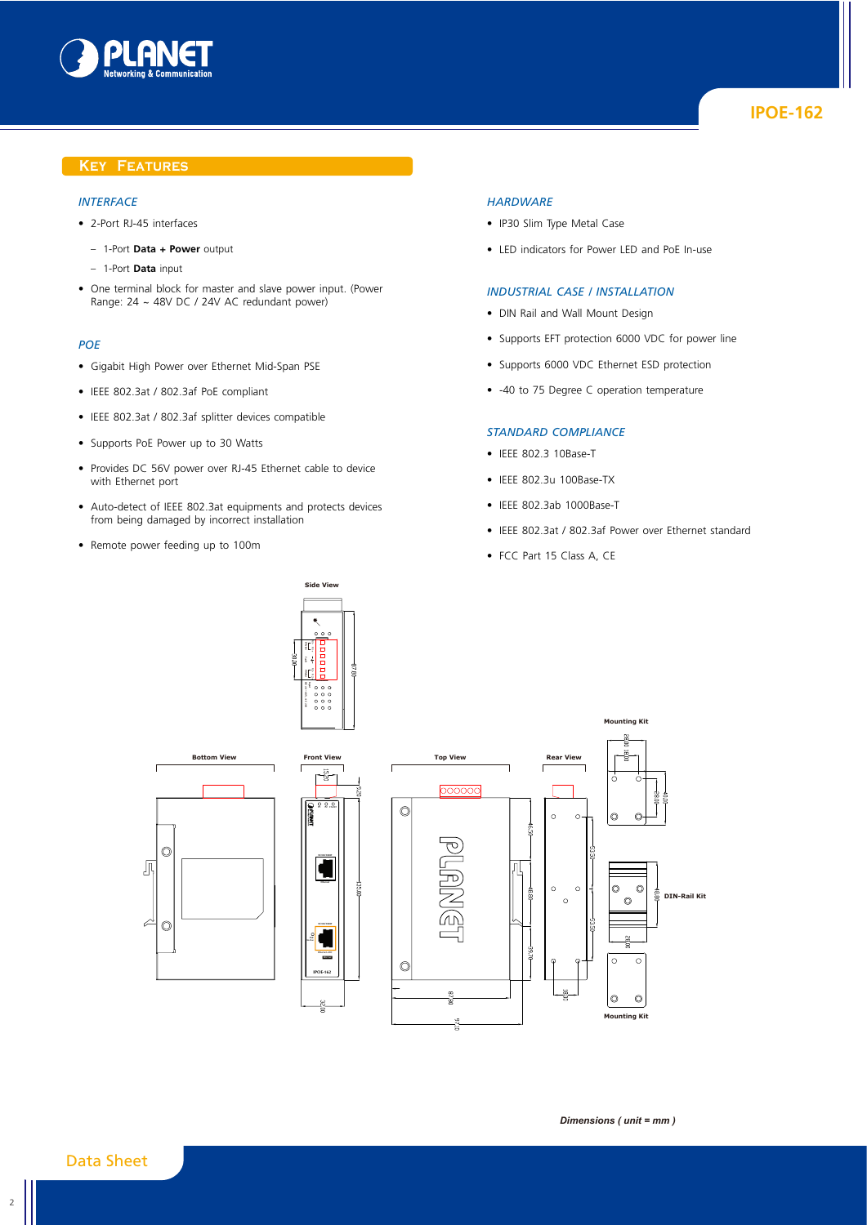

## **Key Features**

## *Interface*

- 2-Port RJ-45 interfaces
	- 1-Port **Data + Power** output
	- 1-Port **Data** input
- One terminal block for master and slave power input. (Power Range: 24 ~ 48V DC / 24V AC redundant power)

## *PoE*

- Gigabit High Power over Ethernet Mid-Span PSE
- IEEE 802.3at / 802.3af PoE compliant
- IEEE 802.3at / 802.3af splitter devices compatible
- Supports PoE Power up to 30 Watts
- Provides DC 56V power over RJ-45 Ethernet cable to device with Ethernet port
- Auto-detect of IEEE 802.3at equipments and protects devices from being damaged by incorrect installation

**Side View**

**PWR1 PWR2 Fault**

• Remote power feeding up to 100m

#### *Hardware*

- IP30 Slim Type Metal Case
- LED indicators for Power LED and PoE In-use

## *Industrial Case / Installation*

- DIN Rail and Wall Mount Design
- Supports EFT protection 6000 VDC for power line
- Supports 6000 VDC Ethernet ESD protection
- -40 to 75 Degree C operation temperature

#### *Standard Compliance*

- IEEE 802.3 10Base-T
- IEEE 802.3u 100Base-TX
- IEEE 802.3ab 1000Base-T
- IEEE 802.3at / 802.3af Power over Ethernet standard
- FCC Part 15 Class A, CE



Data Sheet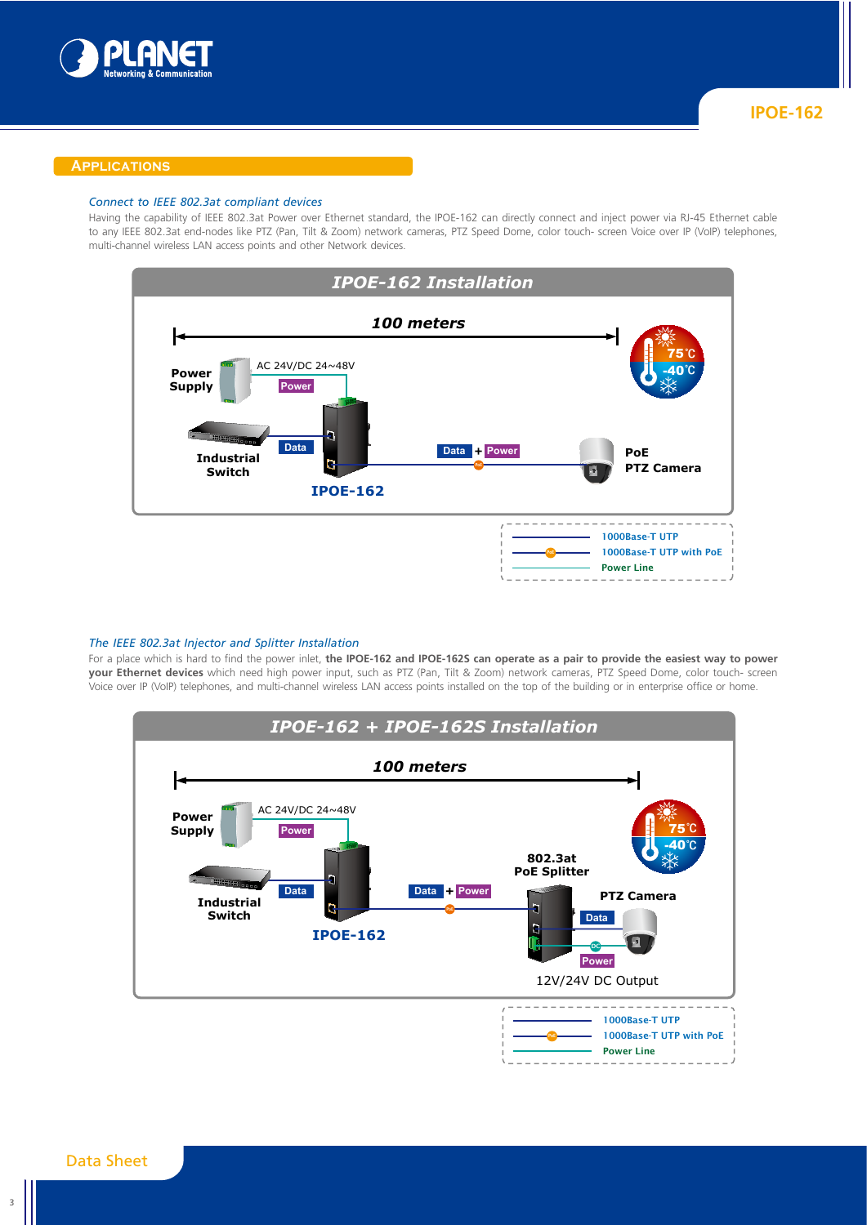

### **Applications**

#### *Connect to IEEE 802.3at compliant devices*

Having the capability of IEEE 802.3at Power over Ethernet standard, the IPOE-162 can directly connect and inject power via RJ-45 Ethernet cable to any IEEE 802.3at end-nodes like PTZ (Pan, Tilt & Zoom) network cameras, PTZ Speed Dome, color touch- screen Voice over IP (VoIP) telephones, multi-channel wireless LAN access points and other Network devices.



## *The IEEE 802.3at Injector and Splitter Installation*

For a place which is hard to find the power inlet, **the IPOE-162 and IPOE-162S can operate as a pair to provide the easiest way to power your Ethernet devices** which need high power input, such as PTZ (Pan, Tilt & Zoom) network cameras, PTZ Speed Dome, color touch- screen Voice over IP (VoIP) telephones, and multi-channel wireless LAN access points installed on the top of the building or in enterprise office or home.